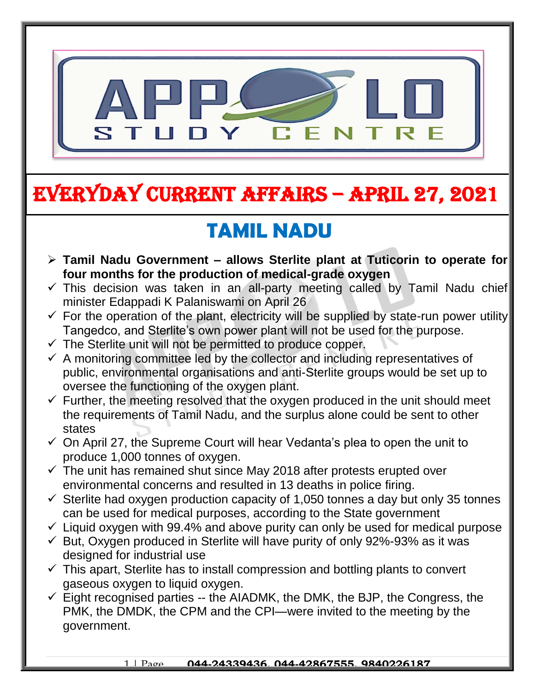

## EVERYDAY CURRENT AFFAIRS – APRIL 27, 2021

## **TAMIL NADU**

- **Tamil Nadu Government – allows Sterlite plant at Tuticorin to operate for four months for the production of medical-grade oxygen**  $\overline{c}$
- $\checkmark$  This decision was taken in an all-party meeting called by Tamil Nadu chief minister Edappadi K Palaniswami on April 26
- $\checkmark$  For the operation of the plant, electricity will be supplied by state-run power utility Tangedco, and Sterlite's own power plant will not be used for the purpose.
- $\checkmark$  The Sterlite unit will not be permitted to produce copper.

-

- $\checkmark$  A monitoring committee led by the collector and including representatives of public, environmental organisations and anti-Sterlite groups would be set up to oversee the functioning of the oxygen plant.
- $\checkmark$  Further, the meeting resolved that the oxygen produced in the unit should meet the requirements of Tamil Nadu, and the surplus alone could be sent to other states
- $\checkmark$  On April 27, the Supreme Court will hear Vedanta's plea to open the unit to produce 1,000 tonnes of oxygen.
- $\checkmark$  The unit has remained shut since May 2018 after protests erupted over environmental concerns and resulted in 13 deaths in police firing.
- $\checkmark$  Sterlite had oxygen production capacity of 1,050 tonnes a day but only 35 tonnes can be used for medical purposes, according to the State government
- $\checkmark$  Liquid oxygen with 99.4% and above purity can only be used for medical purpose
- $\checkmark$  But, Oxygen produced in Sterlite will have purity of only 92%-93% as it was designed for industrial use
- $\checkmark$  This apart, Sterlite has to install compression and bottling plants to convert gaseous oxygen to liquid oxygen.
- $\checkmark$  Eight recognised parties -- the AIADMK, the DMK, the BJP, the Congress, the PMK, the DMDK, the CPM and the CPI—were invited to the meeting by the government.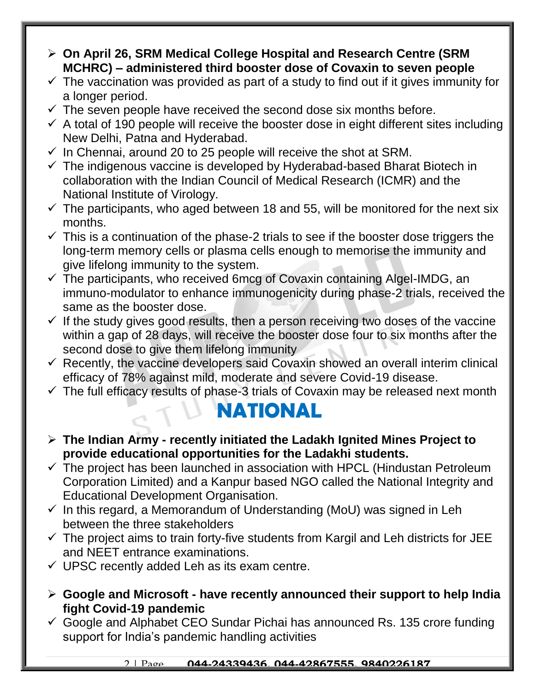- **On April 26, SRM Medical College Hospital and Research Centre (SRM MCHRC) – administered third booster dose of Covaxin to seven people**
- $\checkmark$  The vaccination was provided as part of a study to find out if it gives immunity for a longer period.
- $\checkmark$  The seven people have received the second dose six months before.
- $\checkmark$  A total of 190 people will receive the booster dose in eight different sites including New Delhi, Patna and Hyderabad.
- $\checkmark$  In Chennai, around 20 to 25 people will receive the shot at SRM.
- $\checkmark$  The indigenous vaccine is developed by Hyderabad-based Bharat Biotech in collaboration with the Indian Council of Medical Research (ICMR) and the National Institute of Virology.
- $\checkmark$  The participants, who aged between 18 and 55, will be monitored for the next six months.
- $\checkmark$  This is a continuation of the phase-2 trials to see if the booster dose triggers the long-term memory cells or plasma cells enough to memorise the immunity and give lifelong immunity to the system.
- $\checkmark$  The participants, who received 6mcg of Covaxin containing Algel-IMDG, an immuno-modulator to enhance immunogenicity during phase-2 trials, received the same as the booster dose.
- $\checkmark$  If the study gives good results, then a person receiving two doses of the vaccine within a gap of 28 days, will receive the booster dose four to six months after the second dose to give them lifelong immunity
- $\checkmark$  Recently, the vaccine developers said Covaxin showed an overall interim clinical efficacy of 78% against mild, moderate and severe Covid-19 disease.
- $\checkmark$  The full efficacy results of phase-3 trials of Covaxin may be released next month

#### **NATIONAL**

- **The Indian Army - recently initiated the Ladakh Ignited Mines Project to provide educational opportunities for the Ladakhi students.**
- $\checkmark$  The project has been launched in association with HPCL (Hindustan Petroleum Corporation Limited) and a Kanpur based NGO called the National Integrity and Educational Development Organisation.
- $\checkmark$  In this regard, a Memorandum of Understanding (MoU) was signed in Leh between the three stakeholders
- $\checkmark$  The project aims to train forty-five students from Kargil and Leh districts for JEE and NEET entrance examinations.
- $\checkmark$  UPSC recently added Leh as its exam centre.
- **Google and Microsoft - have recently announced their support to help India fight Covid-19 pandemic**
- $\checkmark$  Google and Alphabet CEO Sundar Pichai has announced Rs. 135 crore funding support for India's pandemic handling activities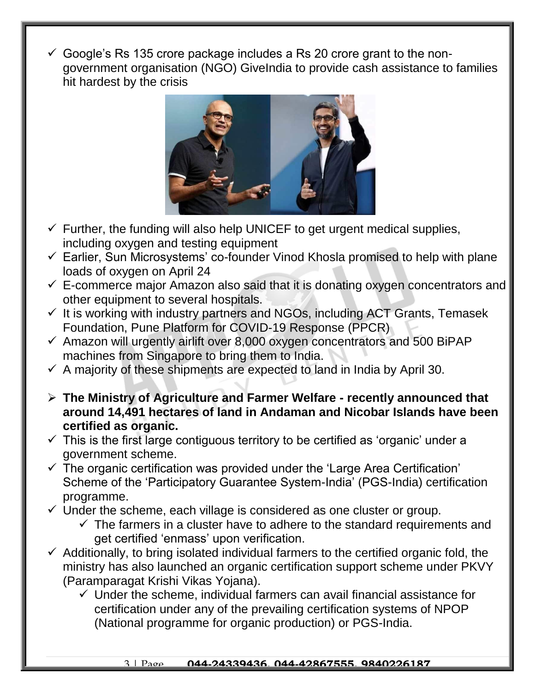$\checkmark$  Google's Rs 135 crore package includes a Rs 20 crore grant to the nongovernment organisation (NGO) GiveIndia to provide cash assistance to families hit hardest by the crisis



- $\checkmark$  Further, the funding will also help UNICEF to get urgent medical supplies, including oxygen and testing equipment
- $\checkmark$  Earlier, Sun Microsystems' co-founder Vinod Khosla promised to help with plane loads of oxygen on April 24
- $\checkmark$  E-commerce major Amazon also said that it is donating oxygen concentrators and other equipment to several hospitals.
- $\checkmark$  It is working with industry partners and NGOs, including ACT Grants, Temasek Foundation, Pune Platform for COVID-19 Response (PPCR)
- $\checkmark$  Amazon will urgently airlift over 8,000 oxygen concentrators and 500 BiPAP machines from Singapore to bring them to India.
- $\checkmark$  A majority of these shipments are expected to land in India by April 30.
- **The Ministry of Agriculture and Farmer Welfare - recently announced that around 14,491 hectares of land in Andaman and Nicobar Islands have been certified as organic.**
- $\checkmark$  This is the first large contiguous territory to be certified as 'organic' under a government scheme.
- $\checkmark$  The organic certification was provided under the 'Large Area Certification' Scheme of the 'Participatory Guarantee System-India' (PGS-India) certification programme.
- $\checkmark$  Under the scheme, each village is considered as one cluster or group.
	- $\checkmark$  The farmers in a cluster have to adhere to the standard requirements and get certified 'enmass' upon verification.
- $\checkmark$  Additionally, to bring isolated individual farmers to the certified organic fold, the ministry has also launched an organic certification support scheme under PKVY (Paramparagat Krishi Vikas Yojana).
	- $\checkmark$  Under the scheme, individual farmers can avail financial assistance for certification under any of the prevailing certification systems of NPOP (National programme for organic production) or PGS-India.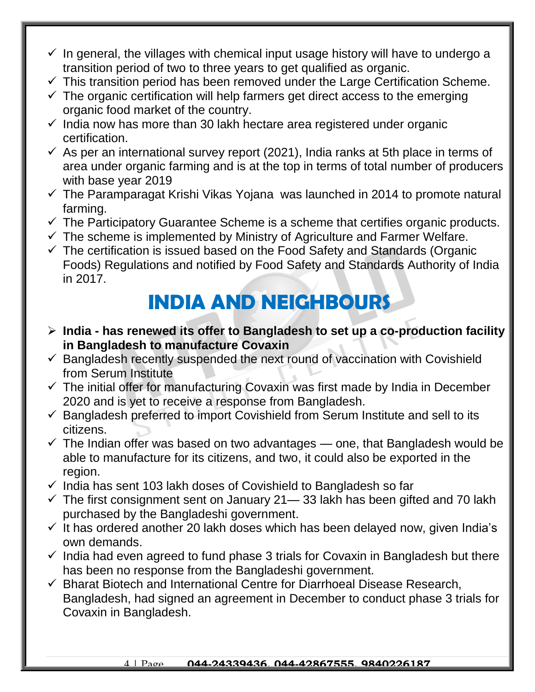- $\checkmark$  In general, the villages with chemical input usage history will have to undergo a transition period of two to three years to get qualified as organic.
- $\checkmark$  This transition period has been removed under the Large Certification Scheme.
- $\checkmark$  The organic certification will help farmers get direct access to the emerging organic food market of the country.
- $\checkmark$  India now has more than 30 lakh hectare area registered under organic certification.
- $\checkmark$  As per an international survey report (2021), India ranks at 5th place in terms of area under organic farming and is at the top in terms of total number of producers with base year 2019
- $\checkmark$  The Paramparagat Krishi Vikas Yojana was launched in 2014 to promote natural farming.
- $\checkmark$  The Participatory Guarantee Scheme is a scheme that certifies organic products.
- $\checkmark$  The scheme is implemented by Ministry of Agriculture and Farmer Welfare.
- $\checkmark$  The certification is issued based on the Food Safety and Standards (Organic Foods) Regulations and notified by Food Safety and Standards Authority of India in 2017.

# **INDIA AND NEIGHBOURS**

- **India - has renewed its offer to Bangladesh to set up a co-production facility in Bangladesh to manufacture Covaxin**
- $\checkmark$  Bangladesh recently suspended the next round of vaccination with Covishield from Serum Institute
- $\checkmark$  The initial offer for manufacturing Covaxin was first made by India in December 2020 and is yet to receive a response from Bangladesh.
- $\checkmark$  Bangladesh preferred to import Covishield from Serum Institute and sell to its citizens.
- $\checkmark$  The Indian offer was based on two advantages one, that Bangladesh would be able to manufacture for its citizens, and two, it could also be exported in the region.
- $\checkmark$  India has sent 103 lakh doses of Covishield to Bangladesh so far
- $\checkmark$  The first consignment sent on January 21— 33 lakh has been gifted and 70 lakh purchased by the Bangladeshi government.
- $\checkmark$  It has ordered another 20 lakh doses which has been delayed now, given India's own demands.
- $\checkmark$  India had even agreed to fund phase 3 trials for Covaxin in Bangladesh but there has been no response from the Bangladeshi government.
- $\checkmark$  Bharat Biotech and International Centre for Diarrhoeal Disease Research, Bangladesh, had signed an agreement in December to conduct phase 3 trials for Covaxin in Bangladesh.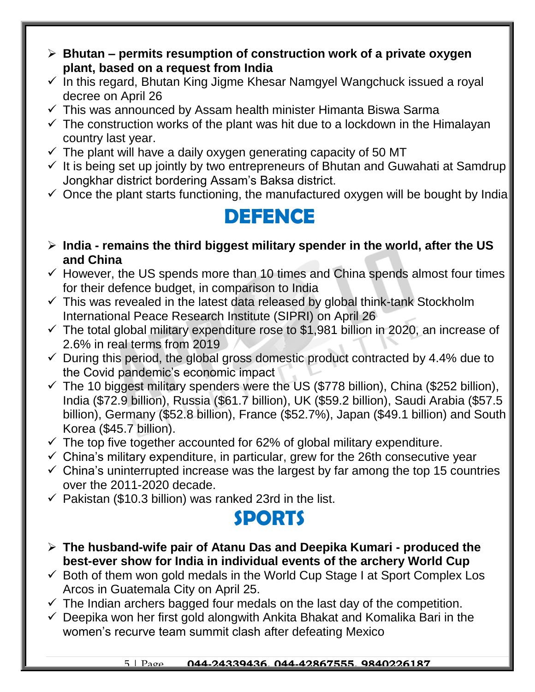- **Bhutan – permits resumption of construction work of a private oxygen plant, based on a request from India**
- $\checkmark$  In this regard, Bhutan King Jigme Khesar Namgyel Wangchuck issued a royal decree on April 26
- $\checkmark$  This was announced by Assam health minister Himanta Biswa Sarma
- $\checkmark$  The construction works of the plant was hit due to a lockdown in the Himalayan country last year.
- $\checkmark$  The plant will have a daily oxygen generating capacity of 50 MT
- $\checkmark$  It is being set up jointly by two entrepreneurs of Bhutan and Guwahati at Samdrup Jongkhar district bordering Assam's Baksa district.
- $\checkmark$  Once the plant starts functioning, the manufactured oxygen will be bought by India

### **DEFENCE**

- **India - remains the third biggest military spender in the world, after the US and China**
- $\checkmark$  However, the US spends more than 10 times and China spends almost four times for their defence budget, in comparison to India
- $\checkmark$  This was revealed in the latest data released by global think-tank Stockholm International Peace Research Institute (SIPRI) on April 26
- $\checkmark$  The total global military expenditure rose to \$1,981 billion in 2020, an increase of 2.6% in real terms from 2019
- $\checkmark$  During this period, the global gross domestic product contracted by 4.4% due to the Covid pandemic's economic impact
- $\checkmark$  The 10 biggest military spenders were the US (\$778 billion), China (\$252 billion), India (\$72.9 billion), Russia (\$61.7 billion), UK (\$59.2 billion), Saudi Arabia (\$57.5 billion), Germany (\$52.8 billion), France (\$52.7%), Japan (\$49.1 billion) and South Korea (\$45.7 billion).
- $\checkmark$  The top five together accounted for 62% of global military expenditure.
- $\checkmark$  China's military expenditure, in particular, grew for the 26th consecutive year
- $\checkmark$  China's uninterrupted increase was the largest by far among the top 15 countries over the 2011-2020 decade.
- $\checkmark$  Pakistan (\$10.3 billion) was ranked 23rd in the list.

#### **SPORTS**

- **The husband-wife pair of Atanu Das and Deepika Kumari - produced the best-ever show for India in individual events of the archery World Cup**
- $\checkmark$  Both of them won gold medals in the World Cup Stage I at Sport Complex Los Arcos in Guatemala City on April 25.
- $\checkmark$  The Indian archers bagged four medals on the last day of the competition.
- $\checkmark$  Deepika won her first gold alongwith Ankita Bhakat and Komalika Bari in the women's recurve team summit clash after defeating Mexico